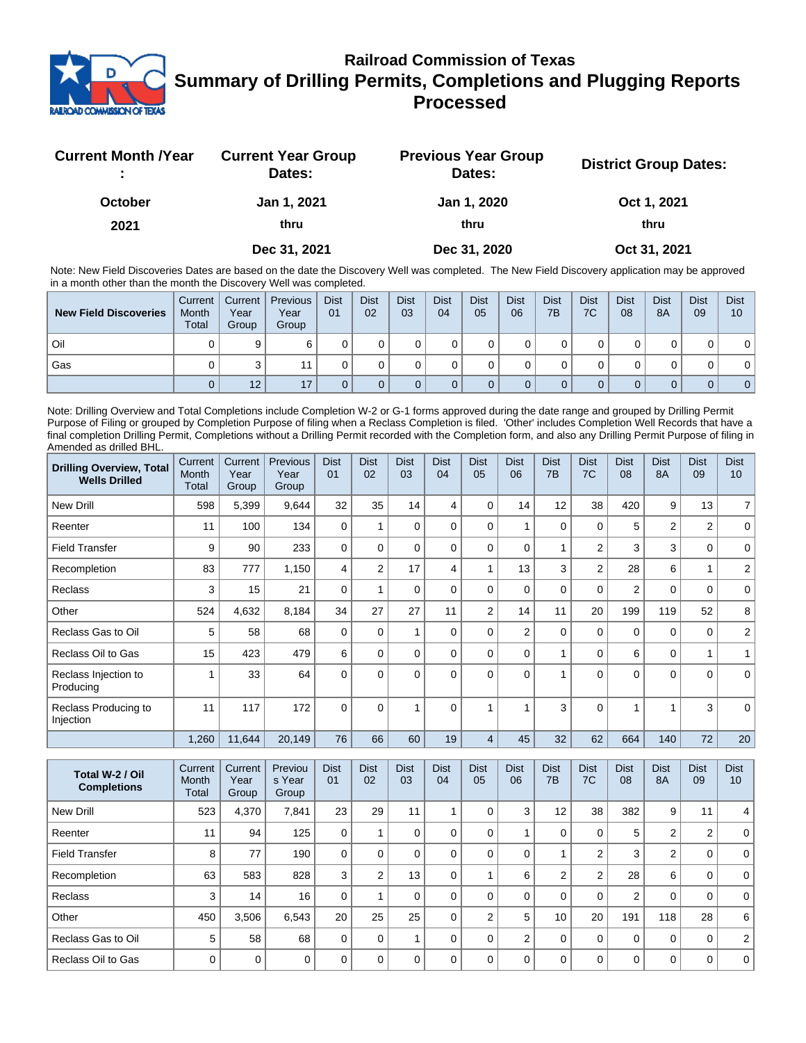

## **Railroad Commission of Texas Summary of Drilling Permits, Completions and Plugging Reports Processed**

| <b>Current Month /Year</b> | <b>Current Year Group</b><br>Dates: | <b>Previous Year Group</b><br>Dates: | <b>District Group Dates:</b> |
|----------------------------|-------------------------------------|--------------------------------------|------------------------------|
| <b>October</b>             | Jan 1, 2021                         | Jan 1, 2020                          | Oct 1, 2021                  |
| 2021                       | thru                                | thru                                 | thru                         |
|                            | Dec 31, 2021                        | Dec 31, 2020                         | Oct 31, 2021                 |

Note: New Field Discoveries Dates are based on the date the Discovery Well was completed. The New Field Discovery application may be approved in a month other than the month the Discovery Well was completed.

| <b>New Field Discoveries</b> | Current<br>Month<br><b>Total</b> | Current  <br>Year<br>Group | Previous<br>Year<br>Group | <b>Dist</b><br>01 | <b>Dist</b><br>02 | <b>Dist</b><br>03 | <b>Dist</b><br>04 | <b>Dist</b><br>05 | <b>Dist</b><br>06 | <b>Dist</b><br>7B | <b>Dist</b><br>7C | <b>Dist</b><br>08 | <b>Dist</b><br>8A | <b>Dist</b><br>09 | <b>Dist</b><br>10 |
|------------------------------|----------------------------------|----------------------------|---------------------------|-------------------|-------------------|-------------------|-------------------|-------------------|-------------------|-------------------|-------------------|-------------------|-------------------|-------------------|-------------------|
| Oil                          |                                  |                            |                           |                   |                   |                   |                   |                   |                   |                   |                   |                   |                   |                   | 0                 |
| Gas                          |                                  |                            |                           |                   |                   |                   |                   |                   |                   |                   |                   |                   |                   |                   | 0                 |
|                              |                                  | 12                         | 17                        |                   |                   |                   |                   |                   |                   |                   |                   |                   |                   |                   | 0 <sup>1</sup>    |

Note: Drilling Overview and Total Completions include Completion W-2 or G-1 forms approved during the date range and grouped by Drilling Permit Purpose of Filing or grouped by Completion Purpose of filing when a Reclass Completion is filed. 'Other' includes Completion Well Records that have a final completion Drilling Permit, Completions without a Drilling Permit recorded with the Completion form, and also any Drilling Permit Purpose of filing in Amended as drilled BHL.

| <b>Drilling Overview, Total</b><br><b>Wells Drilled</b> | Current<br>Month<br>Total | Current<br>Year<br>Group | Previous<br>Year<br>Group | <b>Dist</b><br>01 | <b>Dist</b><br>02 | <b>Dist</b><br>03 | <b>Dist</b><br>04 | <b>Dist</b><br>05 | <b>Dist</b><br>06 | <b>Dist</b><br>7B | <b>Dist</b><br>7C | <b>Dist</b><br>08 | <b>Dist</b><br><b>8A</b> | <b>Dist</b><br>09 | <b>Dist</b><br>10 |
|---------------------------------------------------------|---------------------------|--------------------------|---------------------------|-------------------|-------------------|-------------------|-------------------|-------------------|-------------------|-------------------|-------------------|-------------------|--------------------------|-------------------|-------------------|
| <b>New Drill</b>                                        | 598                       | 5,399                    | 9,644                     | 32                | 35                | 14                | 4                 | $\Omega$          | 14                | 12                | 38                | 420               | 9                        | 13                | $\overline{7}$    |
| Reenter                                                 | 11                        | 100                      | 134                       | $\mathbf 0$       |                   | 0                 | $\Omega$          | $\Omega$          |                   | 0                 | $\mathbf 0$       | 5                 | $\overline{2}$           | $\overline{2}$    | $\mathbf 0$       |
| <b>Field Transfer</b>                                   | 9                         | 90                       | 233                       | $\mathbf 0$       | $\Omega$          | 0                 | $\Omega$          | $\Omega$          | 0                 | 1                 | $\overline{2}$    | 3                 | 3                        | $\mathbf 0$       | $\mathbf 0$       |
| Recompletion                                            | 83                        | 777                      | 1,150                     | 4                 | $\overline{2}$    | 17                | 4                 |                   | 13                | 3                 | $\overline{2}$    | 28                | 6                        |                   | 2                 |
| Reclass                                                 | 3                         | 15                       | 21                        | $\Omega$          |                   | 0                 | $\Omega$          | $\Omega$          | 0                 | 0                 | $\mathbf 0$       | 2                 | $\Omega$                 | $\Omega$          | $\mathbf 0$       |
| Other                                                   | 524                       | 4,632                    | 8,184                     | 34                | 27                | 27                | 11                | $\overline{2}$    | 14                | 11                | 20                | 199               | 119                      | 52                | 8                 |
| Reclass Gas to Oil                                      | 5                         | 58                       | 68                        | $\Omega$          | $\Omega$          |                   | $\Omega$          | $\Omega$          | $\overline{2}$    | $\Omega$          | $\mathbf 0$       | $\mathbf 0$       | 0                        | $\mathbf 0$       | $\overline{2}$    |
| Reclass Oil to Gas                                      | 15                        | 423                      | 479                       | 6                 | $\Omega$          | 0                 | $\Omega$          | $\Omega$          | $\Omega$          | 1                 | $\Omega$          | 6                 | $\mathbf 0$              | $\overline{ }$    |                   |
| Reclass Injection to<br>Producing                       |                           | 33                       | 64                        | $\Omega$          | $\Omega$          | 0                 | $\Omega$          | $\Omega$          | $\Omega$          | 1                 | $\Omega$          | $\Omega$          | $\Omega$                 | $\Omega$          | $\Omega$          |
| Reclass Producing to<br>Injection                       | 11                        | 117                      | 172                       | $\Omega$          | $\Omega$          |                   | $\Omega$          |                   |                   | 3                 | $\Omega$          |                   |                          | 3                 | $\Omega$          |
|                                                         | 1,260                     | 11,644                   | 20,149                    | 76                | 66                | 60                | 19                | $\overline{4}$    | 45                | 32                | 62                | 664               | 140                      | 72                | 20                |

| Total W-2 / Oil<br><b>Completions</b> | Current<br>Month<br>Total | Current<br>Year<br>Group | Previou<br>s Year<br>Group | <b>Dist</b><br>01 | <b>Dist</b><br>02 | <b>Dist</b><br>03 | <b>Dist</b><br>04 | <b>Dist</b><br>05 | <b>Dist</b><br>06 | <b>Dist</b><br>7B | <b>Dist</b><br>7C | <b>Dist</b><br>08 | <b>Dist</b><br><b>8A</b> | <b>Dist</b><br>09 | <b>Dist</b><br>10 |
|---------------------------------------|---------------------------|--------------------------|----------------------------|-------------------|-------------------|-------------------|-------------------|-------------------|-------------------|-------------------|-------------------|-------------------|--------------------------|-------------------|-------------------|
| New Drill                             | 523                       | 4,370                    | 7,841                      | 23                | 29                | 11                |                   | $\Omega$          | 3                 | 12                | 38                | 382               | 9                        | 11                | 4                 |
| Reenter                               | 11                        | 94                       | 125                        | $\Omega$          |                   |                   |                   | $\Omega$          |                   | 0                 | 0                 | 5                 | $\overline{2}$           | $\overline{2}$    | $\Omega$          |
| <b>Field Transfer</b>                 | 8                         | 77                       | 190                        | $\Omega$          | $\Omega$          |                   |                   | $\Omega$          | $\Omega$          |                   | 2                 | 3                 | $\overline{2}$           | 0                 | $\Omega$          |
| Recompletion                          | 63                        | 583                      | 828                        | 3                 | 2                 | 13                | $\Omega$          |                   | 6                 | $\overline{2}$    | $\overline{2}$    | 28                | 6                        | 0                 | $\Omega$          |
| <b>Reclass</b>                        | 3                         | 14                       | 16                         | $\Omega$          |                   | 0                 |                   | $\Omega$          | $\Omega$          | 0                 | 0                 | 2                 | 0                        | $\Omega$          | $\Omega$          |
| Other                                 | 450                       | 3,506                    | 6,543                      | 20                | 25                | 25                | $\Omega$          | $\overline{2}$    | 5                 | 10                | 20                | 191               | 118                      | 28                | 6                 |
| Reclass Gas to Oil                    | 5                         | 58                       | 68                         | $\Omega$          | $\Omega$          |                   |                   | $\Omega$          | $\overline{2}$    | $\Omega$          | 0                 | $\mathbf 0$       | 0                        | 0                 | 2                 |
| Reclass Oil to Gas                    | $\Omega$                  | $\mathbf 0$              | 0                          | $\Omega$          | $\Omega$          | O                 |                   | $\Omega$          | $\Omega$          | $\Omega$          | $\Omega$          | $\mathbf 0$       | 0                        | 0                 | $\mathbf 0$       |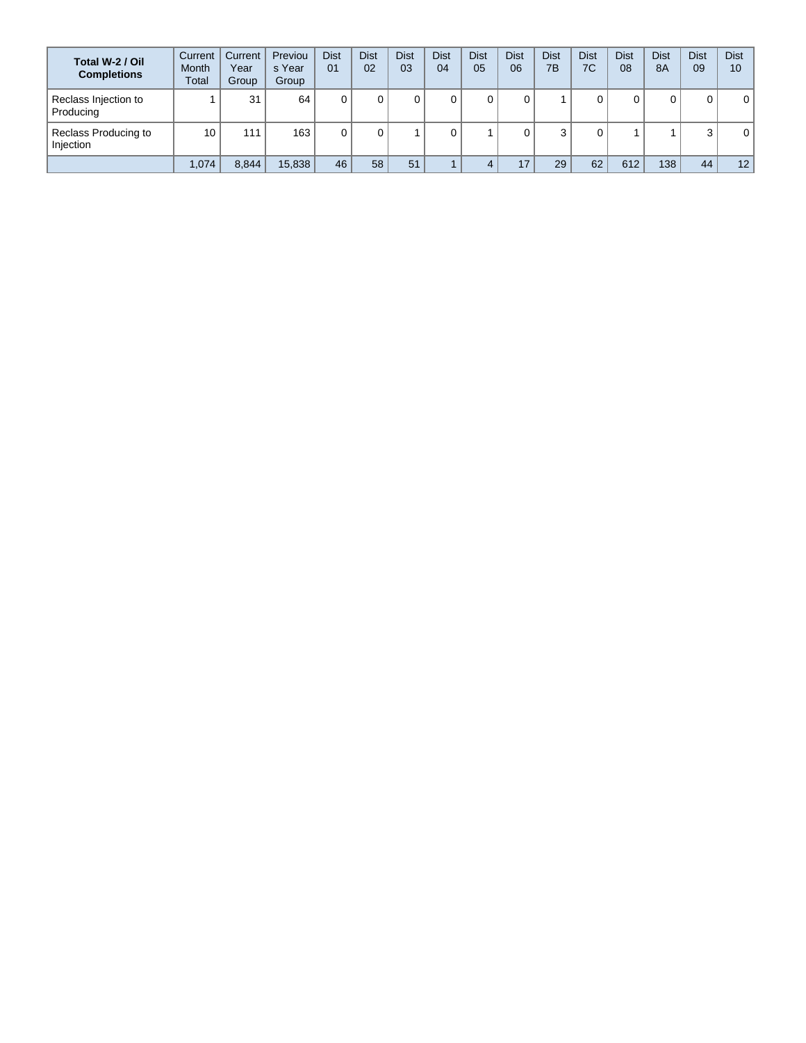| Total W-2 / Oil<br><b>Completions</b> | Current<br><b>Month</b><br>Total | Current<br>Year<br>Group | Previou<br>s Year<br>Group | <b>Dist</b><br>01 | <b>Dist</b><br>02 | <b>Dist</b><br>03 | <b>Dist</b><br>04 | <b>Dist</b><br>05 | <b>Dist</b><br>06 | <b>Dist</b><br>7B | Dist<br>7C | <b>Dist</b><br>08 | <b>Dist</b><br><b>8A</b> | <b>Dist</b><br>09 | <b>Dist</b><br>10 |
|---------------------------------------|----------------------------------|--------------------------|----------------------------|-------------------|-------------------|-------------------|-------------------|-------------------|-------------------|-------------------|------------|-------------------|--------------------------|-------------------|-------------------|
| Reclass Injection to<br>Producing     |                                  | 31                       | 64                         |                   |                   |                   | 0                 |                   |                   |                   |            | υ                 | 0                        | 0                 | 0                 |
| Reclass Producing to<br>Injection     | 10                               | 111                      | 163                        |                   |                   |                   | 0                 |                   |                   |                   |            |                   |                          | 3                 | 0                 |
|                                       | 1,074                            | 8,844                    | 15,838                     | 46                | 58                | 51                |                   |                   | 17                | 29                | 62         | 612               | 138                      | 44                | 12                |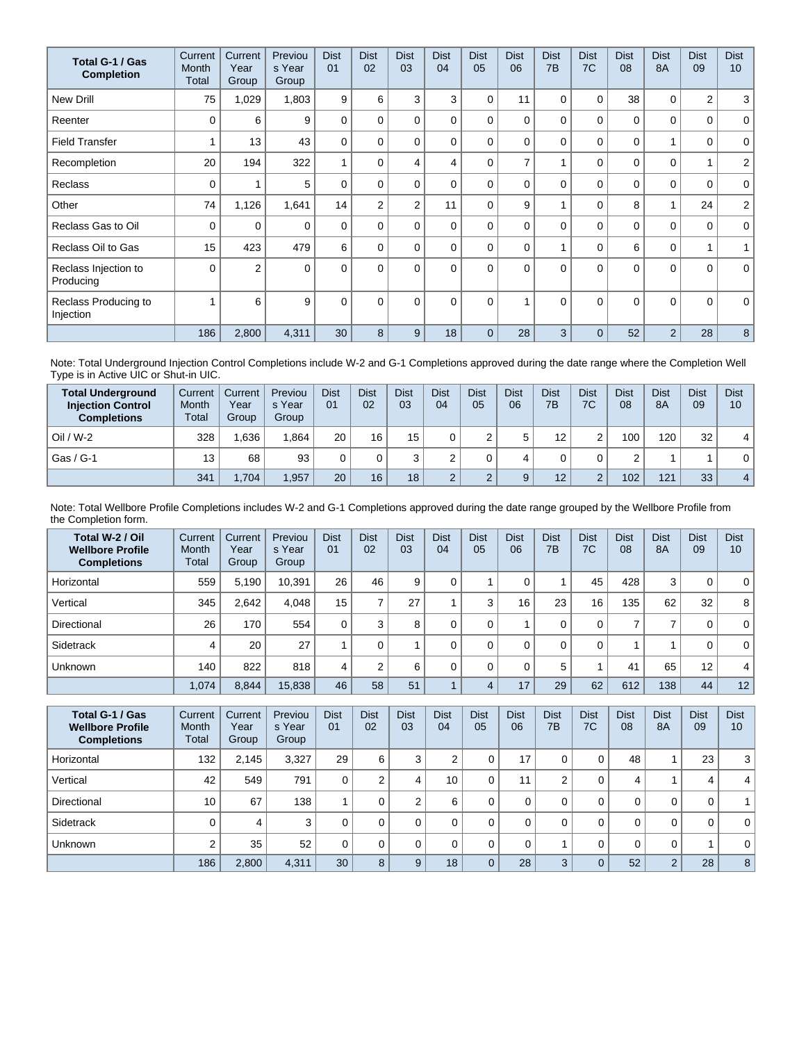| Total G-1 / Gas<br><b>Completion</b> | Current<br>Month<br>Total | Current<br>Year<br>Group | Previou<br>s Year<br>Group | <b>Dist</b><br>01 | <b>Dist</b><br>02 | <b>Dist</b><br>03 | <b>Dist</b><br>04 | <b>Dist</b><br>05 | <b>Dist</b><br>06 | <b>Dist</b><br>7 <sub>B</sub> | <b>Dist</b><br>7C | <b>Dist</b><br>08 | <b>Dist</b><br><b>8A</b> | <b>Dist</b><br>09 | <b>Dist</b><br>10 <sup>°</sup> |
|--------------------------------------|---------------------------|--------------------------|----------------------------|-------------------|-------------------|-------------------|-------------------|-------------------|-------------------|-------------------------------|-------------------|-------------------|--------------------------|-------------------|--------------------------------|
| <b>New Drill</b>                     | 75                        | 1,029                    | 1,803                      | 9                 | 6                 | 3                 | 3                 | $\Omega$          | 11                | 0                             | 0                 | 38                | 0                        | $\overline{2}$    | 3                              |
| Reenter                              | $\Omega$                  | 6                        | 9                          | $\Omega$          | 0                 | $\Omega$          | 0                 | $\Omega$          | $\Omega$          | $\Omega$                      | $\Omega$          | 0                 | $\Omega$                 | 0                 | $\mathbf 0$                    |
| <b>Field Transfer</b>                |                           | 13                       | 43                         | $\Omega$          | 0                 | $\Omega$          | 0                 | $\Omega$          | $\Omega$          | $\Omega$                      | $\mathbf 0$       | 0                 | 1                        | 0                 | $\mathbf 0$                    |
| Recompletion                         | 20                        | 194                      | 322                        | 1                 | $\Omega$          | 4                 | 4                 | $\Omega$          | 7                 |                               | $\Omega$          | $\mathbf 0$       | $\Omega$                 | $\overline{1}$    | $\overline{2}$                 |
| <b>Reclass</b>                       | $\Omega$                  |                          | 5                          | $\mathbf{0}$      | 0                 | $\Omega$          | 0                 | $\Omega$          | $\Omega$          | $\Omega$                      | $\Omega$          | $\mathbf{0}$      | $\Omega$                 | 0                 | $\mathbf 0$                    |
| Other                                | 74                        | 1,126                    | 1,641                      | 14                | $\overline{2}$    | 2                 | 11                | $\Omega$          | 9                 |                               | 0                 | 8                 | 1                        | 24                | $\overline{a}$                 |
| Reclass Gas to Oil                   | 0                         | 0                        | $\Omega$                   | $\Omega$          | $\Omega$          | $\Omega$          | 0                 | $\Omega$          | $\Omega$          | $\Omega$                      | $\Omega$          | 0                 | $\Omega$                 | 0                 | $\mathbf{0}$                   |
| Reclass Oil to Gas                   | 15                        | 423                      | 479                        | 6                 | $\Omega$          | $\Omega$          | 0                 | $\Omega$          | $\Omega$          |                               | 0                 | 6                 | $\mathbf 0$              | 1                 | 1                              |
| Reclass Injection to<br>Producing    | $\Omega$                  | $\overline{2}$           | $\Omega$                   | $\Omega$          | $\Omega$          | $\Omega$          | $\Omega$          | $\Omega$          | $\Omega$          | $\Omega$                      | $\Omega$          | $\mathbf{0}$      | $\Omega$                 | $\Omega$          | $\mathbf{0}$                   |
| Reclass Producing to<br>Injection    |                           | 6                        | 9                          | $\mathbf{0}$      | $\Omega$          | $\Omega$          | $\Omega$          | $\Omega$          |                   | $\Omega$                      | $\Omega$          | $\Omega$          | $\Omega$                 | $\Omega$          | $\mathbf 0$                    |
|                                      | 186                       | 2,800                    | 4,311                      | 30                | 8                 | 9                 | 18                | $\Omega$          | 28                | 3                             | $\Omega$          | 52                | $\overline{2}$           | 28                | 8                              |

Note: Total Underground Injection Control Completions include W-2 and G-1 Completions approved during the date range where the Completion Well Type is in Active UIC or Shut-in UIC.

| <b>Total Underground</b><br><b>Injection Control</b><br><b>Completions</b> | Current<br>Month<br>Total | Current<br>Year<br>Group | Previou<br>s Year<br>Group | <b>Dist</b><br>0 <sub>1</sub> | <b>Dist</b><br>02 | <b>Dist</b><br>03 | <b>Dist</b><br>04 | <b>Dist</b><br>05 | Dist<br>06 | <b>Dist</b><br>7B | Dist<br>7C  | Dist<br>08 | <b>Dist</b><br><b>8A</b> | <b>Dist</b><br>09 | <b>Dist</b><br>10 |
|----------------------------------------------------------------------------|---------------------------|--------------------------|----------------------------|-------------------------------|-------------------|-------------------|-------------------|-------------------|------------|-------------------|-------------|------------|--------------------------|-------------------|-------------------|
| $Oil / W-2$                                                                | 328                       | .636                     | 1.864                      | 20                            | 16                | 15                |                   |                   | 5          | 12                | $\sim$<br>۷ | 100        | 120                      | 32                | 4                 |
| Gas / G-1                                                                  | 13                        | 68                       | 93                         |                               |                   |                   |                   |                   |            |                   |             |            |                          |                   | 0                 |
|                                                                            | 341                       | ,704                     | .957                       | 20                            | 16                | 18                |                   |                   | 9          | 12                | $\sim$<br>۷ | 102        | 121                      | 33                | $\overline{4}$    |

Note: Total Wellbore Profile Completions includes W-2 and G-1 Completions approved during the date range grouped by the Wellbore Profile from the Completion form.

| Total W-2 / Oil<br><b>Wellbore Profile</b><br><b>Completions</b> | Current<br>Month<br>Total | Current<br>Year<br>Group | Previou<br>s Year<br>Group | <b>Dist</b><br>01 | <b>Dist</b><br>02 | <b>Dist</b><br>03 | <b>Dist</b><br>04 | <b>Dist</b><br>05 | <b>Dist</b><br>06 | <b>Dist</b><br>7B | <b>Dist</b><br>7C | <b>Dist</b><br>08 | <b>Dist</b><br>8A | <b>Dist</b><br>09 | <b>Dist</b><br>10 |
|------------------------------------------------------------------|---------------------------|--------------------------|----------------------------|-------------------|-------------------|-------------------|-------------------|-------------------|-------------------|-------------------|-------------------|-------------------|-------------------|-------------------|-------------------|
| Horizontal                                                       | 559                       | 5,190                    | 10,391                     | 26                | 46                | 9                 |                   |                   |                   |                   | 45                | 428               | 3                 | 0                 | $\mathbf 0$       |
| Vertical                                                         | 345                       | 2,642                    | 4.048                      | 15                |                   | 27                |                   | 3                 | 16                | 23                | 16                | 135               | 62                | 32                | 8                 |
| Directional                                                      | 26                        | 170                      | 554                        | 0                 |                   | 8                 |                   |                   |                   | 0                 | 0                 |                   |                   | 0                 | $\mathbf{0}$      |
| Sidetrack                                                        | 4                         | 20                       | 27                         |                   |                   |                   |                   |                   |                   | 0                 | 0                 |                   |                   | 0                 | $\mathbf 0$       |
| <b>Unknown</b>                                                   | 140                       | 822                      | 818                        | 4                 |                   | 6                 | 0                 |                   |                   | 5                 |                   | 41                | 65                | 12                | 4                 |
|                                                                  | 1,074                     | 8,844                    | 15,838                     | 46                | 58                | 51                |                   | 4                 | 17                | 29                | 62                | 612               | 138               | 44                | 12 <sub>1</sub>   |

| Total G-1 / Gas<br><b>Wellbore Profile</b><br><b>Completions</b> | Current<br><b>Month</b><br>Total | Current<br>Year<br>Group | Previou<br>s Year<br>Group | <b>Dist</b><br>01 | <b>Dist</b><br>02 | <b>Dist</b><br>03 | <b>Dist</b><br>04 | <b>Dist</b><br>05 | <b>Dist</b><br>06 | <b>Dist</b><br>7B | <b>Dist</b><br>7C | <b>Dist</b><br>08 | <b>Dist</b><br>8A | <b>Dist</b><br>09 | <b>Dist</b><br>10 |
|------------------------------------------------------------------|----------------------------------|--------------------------|----------------------------|-------------------|-------------------|-------------------|-------------------|-------------------|-------------------|-------------------|-------------------|-------------------|-------------------|-------------------|-------------------|
| Horizontal                                                       | 132                              | 2.145                    | 3,327                      | 29                | 6                 | 3                 |                   |                   | 17                | 0                 | 0                 | 48                |                   | 23                | 3                 |
| Vertical                                                         | 42                               | 549                      | 791                        | 0                 | ⌒                 | 4                 | 10                |                   | 11                | ົ                 | 0                 | 4                 |                   | 4                 | 4                 |
| Directional                                                      | 10                               | 67                       | 138                        |                   |                   | C                 | 6                 |                   |                   | 0                 | 0                 | 0                 | 0                 | 0                 |                   |
| Sidetrack                                                        |                                  | 4                        | 3                          | 0                 |                   | $\Omega$          |                   |                   |                   | 0                 | 0                 | 0                 | 0                 | $\Omega$          | 0 <sup>1</sup>    |
| <b>Unknown</b>                                                   | $\Omega$                         | 35                       | 52                         | 0                 |                   | $\Omega$          |                   |                   |                   |                   | 0                 | 0                 | 0                 |                   | 0 <sup>1</sup>    |
|                                                                  | 186                              | 2,800                    | 4,311                      | 30                | 8                 | 9                 | 18                |                   | 28                | 3                 | $\overline{0}$    | 52                | $\overline{2}$    | 28                | 8                 |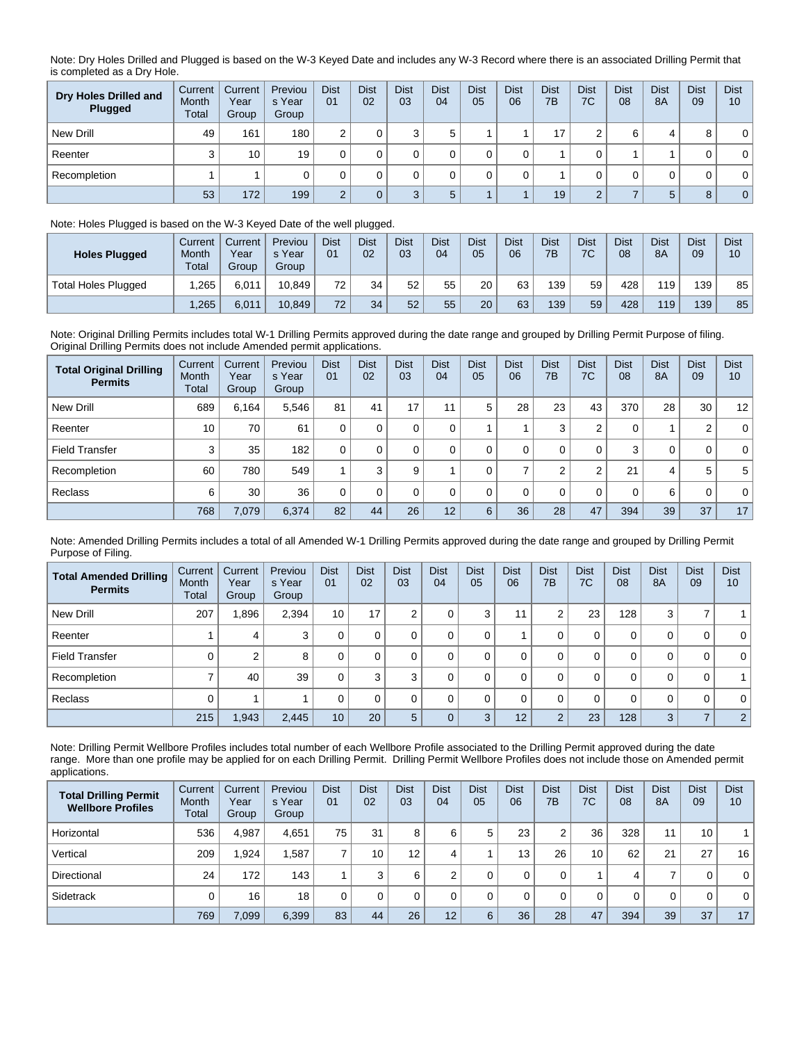Note: Dry Holes Drilled and Plugged is based on the W-3 Keyed Date and includes any W-3 Record where there is an associated Drilling Permit that is completed as a Dry Hole.

| Dry Holes Drilled and<br>Plugged | Current<br>Month<br>Total | Current<br>Year<br>Group | Previou<br>s Year<br>Group | <b>Dist</b><br>01 | <b>Dist</b><br>02 | <b>Dist</b><br>03 | <b>Dist</b><br>04 | <b>Dist</b><br>05 | <b>Dist</b><br>06 | Dist<br>7B | <b>Dist</b><br>7C | <b>Dist</b><br>08 | <b>Dist</b><br>8A | <b>Dist</b><br>09 | <b>Dist</b><br>10 |
|----------------------------------|---------------------------|--------------------------|----------------------------|-------------------|-------------------|-------------------|-------------------|-------------------|-------------------|------------|-------------------|-------------------|-------------------|-------------------|-------------------|
| New Drill                        | 49                        | 161                      | 180                        | ⌒                 |                   | ◠                 |                   |                   |                   | 17         | $\sqrt{2}$        | 6                 | 4                 | 8                 | $\mathbf{0}$      |
| Reenter                          |                           | 10                       | 19                         |                   |                   |                   |                   |                   |                   |            |                   |                   |                   | 0                 | $\mathbf 0$       |
| Recompletion                     |                           |                          |                            |                   |                   |                   |                   |                   |                   |            |                   |                   |                   | 0                 | 0                 |
|                                  | 53                        | 172                      | 199                        | $\sim$            |                   |                   | ᄃ                 |                   |                   | 19         | $\sim$            |                   | 5                 | 8                 | $\overline{0}$    |

## Note: Holes Plugged is based on the W-3 Keyed Date of the well plugged.

| <b>Holes Plugged</b>       | Current<br>Month<br>Total | Current<br>Year<br>Group | Previou<br>s Year<br>Group | <b>Dist</b><br>01 | <b>Dist</b><br>02 | <b>Dist</b><br>03 | Dist<br>04 | <b>Dist</b><br>05 | <b>Dist</b><br>06 | Dist<br>7B | <b>Dist</b><br>7C | <b>Dist</b><br>08 | <b>Dist</b><br>8A | Dist<br>09 | <b>Dist</b><br>10 |
|----------------------------|---------------------------|--------------------------|----------------------------|-------------------|-------------------|-------------------|------------|-------------------|-------------------|------------|-------------------|-------------------|-------------------|------------|-------------------|
| <b>Total Holes Plugged</b> | .265                      | 6.011                    | 10.849                     | 72                | 34                | 52                | 55         | 20                | 63                | 139        | 59                | 428               | 119               | 139        | 85                |
|                            | ,265                      | 6,011                    | 10.849                     | 72.               | 34                | 52                | 55         | 20                | 63                | 139        | 59                | 428               | 119               | 139        | 85                |

Note: Original Drilling Permits includes total W-1 Drilling Permits approved during the date range and grouped by Drilling Permit Purpose of filing. Original Drilling Permits does not include Amended permit applications.

| <b>Total Original Drilling</b><br><b>Permits</b> | Current<br>Month<br>Total | Current<br>Year<br>Group | Previou<br>s Year<br>Group | <b>Dist</b><br>01 | <b>Dist</b><br>02 | <b>Dist</b><br>03 | <b>Dist</b><br>04 | <b>Dist</b><br>05 | <b>Dist</b><br>06 | <b>Dist</b><br>7B | <b>Dist</b><br>7C | <b>Dist</b><br>08 | <b>Dist</b><br><b>8A</b> | <b>Dist</b><br>09 | <b>Dist</b><br>10 |
|--------------------------------------------------|---------------------------|--------------------------|----------------------------|-------------------|-------------------|-------------------|-------------------|-------------------|-------------------|-------------------|-------------------|-------------------|--------------------------|-------------------|-------------------|
| New Drill                                        | 689                       | 6.164                    | 5.546                      | 81                | 41                | 17                | 11                | 5                 | 28                | 23                | 43                | 370               | 28                       | 30                | 12                |
| Reenter                                          | 10                        | 70                       | 61                         |                   | 0                 |                   | 0                 |                   |                   | 3                 | $\overline{2}$    | 0                 |                          | 2                 | $\overline{0}$    |
| <b>Field Transfer</b>                            | 3                         | 35                       | 182                        | $\Omega$          | $\Omega$          |                   |                   |                   | 0                 | 0                 | 0                 | 3                 | 0                        | 0                 | $\overline{0}$    |
| Recompletion                                     | 60                        | 780                      | 549                        |                   | 3                 | 9                 |                   |                   |                   | $\Omega$          | $\overline{2}$    | 21                | 4                        | 5                 | 5 <sup>1</sup>    |
| Reclass                                          | 6                         | 30                       | 36                         |                   | 0                 | 0                 | $\Omega$          |                   | $\Omega$          | 0                 | 0                 | 0                 | 6                        | 0                 | $\overline{0}$    |
|                                                  | 768                       | 7,079                    | 6,374                      | 82                | 44                | 26                | 12                | 6                 | 36                | 28                | 47                | 394               | 39                       | 37                | 17                |

Note: Amended Drilling Permits includes a total of all Amended W-1 Drilling Permits approved during the date range and grouped by Drilling Permit Purpose of Filing.

| <b>Total Amended Drilling</b><br><b>Permits</b> | Current<br>Month<br>Total | Current<br>Year<br>Group | Previou<br>s Year<br>Group | <b>Dist</b><br>01 | <b>Dist</b><br>02 | <b>Dist</b><br>03 | <b>Dist</b><br>04 | <b>Dist</b><br>05 | <b>Dist</b><br>06 | <b>Dist</b><br>7B | <b>Dist</b><br>7C | <b>Dist</b><br>08 | <b>Dist</b><br>8A | <b>Dist</b><br>09 | <b>Dist</b><br>10 |
|-------------------------------------------------|---------------------------|--------------------------|----------------------------|-------------------|-------------------|-------------------|-------------------|-------------------|-------------------|-------------------|-------------------|-------------------|-------------------|-------------------|-------------------|
| New Drill                                       | 207                       | 896.                     | 2,394                      | 10                | 17                | $\sim$            |                   | 3                 | 11                | 2                 | 23                | 128               | 3                 |                   |                   |
| Reenter                                         |                           | 4                        | 3                          | 0                 |                   | 0                 |                   | 0                 |                   | 0                 | 0                 | 0                 | 0                 | 0                 | $\overline{0}$    |
| <b>Field Transfer</b>                           |                           | 2                        | 8                          | 0                 |                   |                   |                   | 0                 | 0                 | 0                 | 0                 | 0                 | 0                 | 0                 | $\overline{0}$    |
| Recompletion                                    |                           | 40                       | 39                         | 0                 | 3                 | 3                 |                   | 0                 | 0                 | 0                 | 0                 | 0                 | 0                 | 0                 |                   |
| Reclass                                         |                           |                          |                            | 0                 |                   | $\Omega$          |                   | 0                 | 0                 | 0                 | 0                 | 0                 | 0                 | 0                 | $\overline{0}$    |
|                                                 | 215                       | 1,943                    | 2,445                      | 10 <sub>1</sub>   | 20                | 5                 |                   | 3                 | 12                | $\overline{2}$    | 23                | 128               | 3                 | ⇁                 | 2 <sup>2</sup>    |

Note: Drilling Permit Wellbore Profiles includes total number of each Wellbore Profile associated to the Drilling Permit approved during the date range. More than one profile may be applied for on each Drilling Permit. Drilling Permit Wellbore Profiles does not include those on Amended permit applications.

| <b>Total Drilling Permit</b><br><b>Wellbore Profiles</b> | <b>Current</b><br>Month<br>Total | Current<br>Year<br>Group | Previou<br>s Year<br>Group | <b>Dist</b><br>01 | <b>Dist</b><br>02 | <b>Dist</b><br>03 | <b>Dist</b><br>04 | <b>Dist</b><br>05 | <b>Dist</b><br>06 | <b>Dist</b><br>7B | <b>Dist</b><br>7C | <b>Dist</b><br>08 | <b>Dist</b><br>8A | <b>Dist</b><br>09 | <b>Dist</b><br>10 |
|----------------------------------------------------------|----------------------------------|--------------------------|----------------------------|-------------------|-------------------|-------------------|-------------------|-------------------|-------------------|-------------------|-------------------|-------------------|-------------------|-------------------|-------------------|
| Horizontal                                               | 536                              | 4.987                    | 4,651                      | 75                | 31                | 8                 | 6                 | 5                 | 23                | ົ                 | 36                | 328               | 11                | 10                |                   |
| Vertical                                                 | 209                              | 1,924                    | .587                       |                   | 10                | 12 <sub>1</sub>   | 4                 |                   | 13                | 26                | 10 <sup>°</sup>   | 62                | 21                | 27                | 16                |
| Directional                                              | 24                               | 172                      | 143                        |                   | 3                 | 6                 | ⌒                 |                   |                   | 0                 |                   | 4                 | 7                 | 0                 | $\mathbf{0}$      |
| Sidetrack                                                |                                  | 16                       | 18                         | $\Omega$          |                   |                   |                   |                   |                   |                   | 0                 | $\Omega$          | 0                 | 0                 | $\mathbf{0}$      |
|                                                          | 769                              | 7,099                    | 6,399                      | 83                | 44                | 26                | 12                | 6                 | 36                | 28                | 47                | 394               | 39                | 37                | 17                |